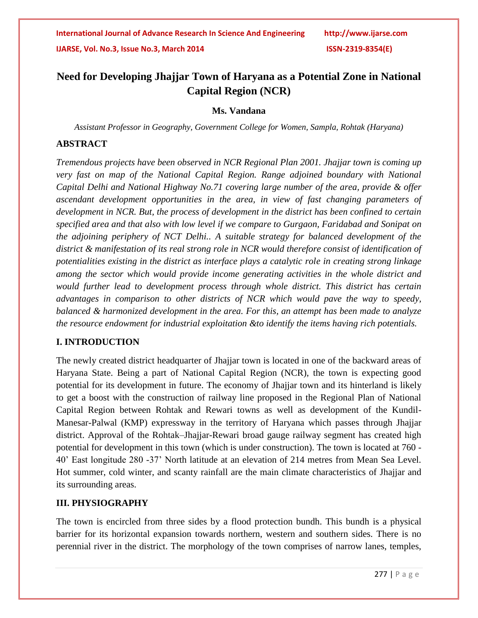# **Need for Developing Jhajjar Town of Haryana as a Potential Zone in National Capital Region (NCR)**

#### **Ms. Vandana**

*Assistant Professor in Geography, Government College for Women, Sampla, Rohtak (Haryana)*

#### **ABSTRACT**

*Tremendous projects have been observed in NCR Regional Plan 2001. Jhajjar town is coming up very fast on map of the National Capital Region. Range adjoined boundary with National Capital Delhi and National Highway No.71 covering large number of the area, provide & offer ascendant development opportunities in the area, in view of fast changing parameters of development in NCR. But, the process of development in the district has been confined to certain specified area and that also with low level if we compare to Gurgaon, Faridabad and Sonipat on the adjoining periphery of NCT Delhi.. A suitable strategy for balanced development of the district & manifestation of its real strong role in NCR would therefore consist of identification of potentialities existing in the district as interface plays a catalytic role in creating strong linkage among the sector which would provide income generating activities in the whole district and would further lead to development process through whole district. This district has certain advantages in comparison to other districts of NCR which would pave the way to speedy, balanced & harmonized development in the area. For this, an attempt has been made to analyze the resource endowment for industrial exploitation &to identify the items having rich potentials.*

#### **I. INTRODUCTION**

The newly created district headquarter of Jhajjar town is located in one of the backward areas of Haryana State. Being a part of National Capital Region (NCR), the town is expecting good potential for its development in future. The economy of Jhajjar town and its hinterland is likely to get a boost with the construction of railway line proposed in the Regional Plan of National Capital Region between Rohtak and Rewari towns as well as development of the Kundil-Manesar-Palwal (KMP) expressway in the territory of Haryana which passes through Jhajjar district. Approval of the Rohtak–Jhajjar-Rewari broad gauge railway segment has created high potential for development in this town (which is under construction). The town is located at 760 - 40' East longitude 280 -37' North latitude at an elevation of 214 metres from Mean Sea Level. Hot summer, cold winter, and scanty rainfall are the main climate characteristics of Jhajjar and its surrounding areas.

### **III. PHYSIOGRAPHY**

The town is encircled from three sides by a flood protection bundh. This bundh is a physical barrier for its horizontal expansion towards northern, western and southern sides. There is no perennial river in the district. The morphology of the town comprises of narrow lanes, temples,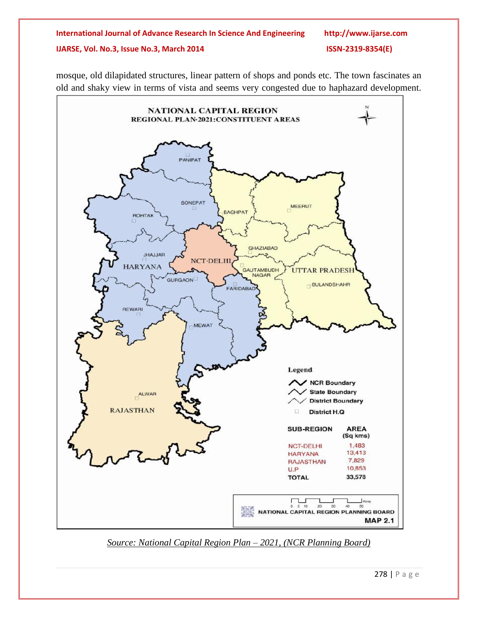# **International Journal of Advance Research In Science And Engineering http://www.ijarse.com IJARSE, Vol. No.3, Issue No.3, March 2014 ISSN-2319-8354(E)**

mosque, old dilapidated structures, linear pattern of shops and ponds etc. The town fascinates an old and shaky view in terms of vista and seems very congested due to haphazard development.



*Source: National Capital Region Plan – 2021, (NCR Planning Board)*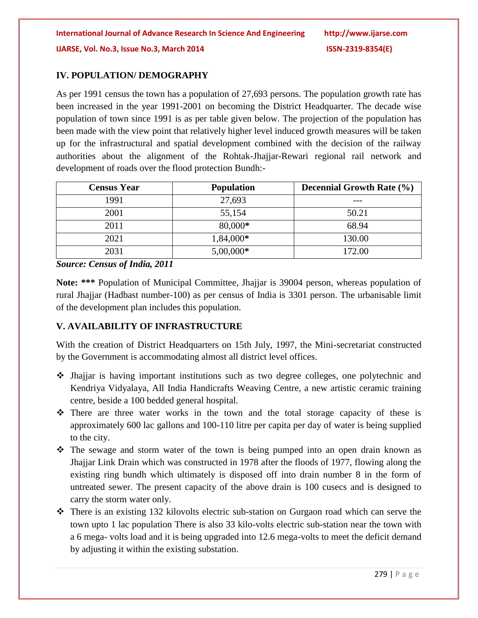## **IV. POPULATION/ DEMOGRAPHY**

As per 1991 census the town has a population of 27,693 persons. The population growth rate has been increased in the year 1991-2001 on becoming the District Headquarter. The decade wise population of town since 1991 is as per table given below. The projection of the population has been made with the view point that relatively higher level induced growth measures will be taken up for the infrastructural and spatial development combined with the decision of the railway authorities about the alignment of the Rohtak-Jhajjar-Rewari regional rail network and development of roads over the flood protection Bundh:-

| <b>Census Year</b> | <b>Population</b> | <b>Decennial Growth Rate (%)</b> |
|--------------------|-------------------|----------------------------------|
| 1991               | 27,693            |                                  |
| 2001               | 55,154            | 50.21                            |
| 2011               | 80,000*           | 68.94                            |
| 2021               | 1,84,000*         | 130.00                           |
| 2031               | $5,00,000*$       | 172.00                           |

*Source: Census of India, 2011*

**Note: \*\*\*** Population of Municipal Committee, Jhajjar is 39004 person, whereas population of rural Jhajjar (Hadbast number-100) as per census of India is 3301 person. The urbanisable limit of the development plan includes this population.

# **V. AVAILABILITY OF INFRASTRUCTURE**

With the creation of District Headquarters on 15th July, 1997, the Mini-secretariat constructed by the Government is accommodating almost all district level offices.

- $\div$  Jhajjar is having important institutions such as two degree colleges, one polytechnic and Kendriya Vidyalaya, All India Handicrafts Weaving Centre, a new artistic ceramic training centre, beside a 100 bedded general hospital.
- There are three water works in the town and the total storage capacity of these is approximately 600 lac gallons and 100-110 litre per capita per day of water is being supplied to the city.
- The sewage and storm water of the town is being pumped into an open drain known as Jhajjar Link Drain which was constructed in 1978 after the floods of 1977, flowing along the existing ring bundh which ultimately is disposed off into drain number 8 in the form of untreated sewer. The present capacity of the above drain is 100 cusecs and is designed to carry the storm water only.
- $\hat{\mathbf{v}}$  There is an existing 132 kilovolts electric sub-station on Gurgaon road which can serve the town upto 1 lac population There is also 33 kilo-volts electric sub-station near the town with a 6 mega- volts load and it is being upgraded into 12.6 mega-volts to meet the deficit demand by adjusting it within the existing substation.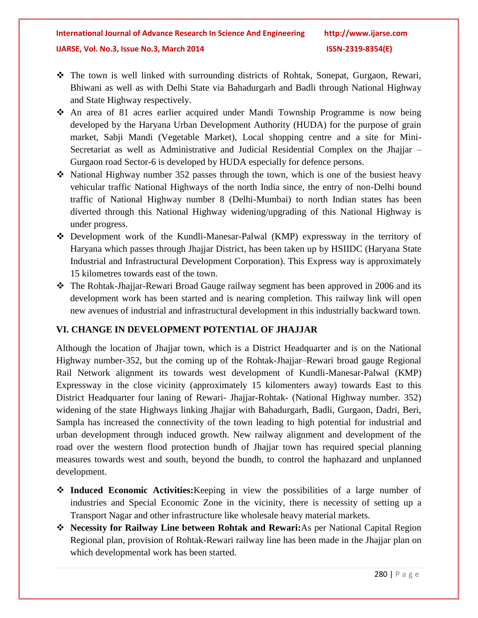- The town is well linked with surrounding districts of Rohtak, Sonepat, Gurgaon, Rewari, Bhiwani as well as with Delhi State via Bahadurgarh and Badli through National Highway and State Highway respectively.
- An area of 81 acres earlier acquired under Mandi Township Programme is now being developed by the Haryana Urban Development Authority (HUDA) for the purpose of grain market, Sabji Mandi (Vegetable Market), Local shopping centre and a site for Mini-Secretariat as well as Administrative and Judicial Residential Complex on the Jhajjar – Gurgaon road Sector-6 is developed by HUDA especially for defence persons.
- $\cdot$  National Highway number 352 passes through the town, which is one of the busiest heavy vehicular traffic National Highways of the north India since, the entry of non-Delhi bound traffic of National Highway number 8 (Delhi-Mumbai) to north Indian states has been diverted through this National Highway widening/upgrading of this National Highway is under progress.
- Development work of the Kundli-Manesar-Palwal (KMP) expressway in the territory of Haryana which passes through Jhajjar District, has been taken up by HSIIDC (Haryana State Industrial and Infrastructural Development Corporation). This Express way is approximately 15 kilometres towards east of the town.
- The Rohtak-Jhajjar-Rewari Broad Gauge railway segment has been approved in 2006 and its development work has been started and is nearing completion. This railway link will open new avenues of industrial and infrastructural development in this industrially backward town.

# **VI. CHANGE IN DEVELOPMENT POTENTIAL OF JHAJJAR**

Although the location of Jhajjar town, which is a District Headquarter and is on the National Highway number-352, but the coming up of the Rohtak-Jhajjar–Rewari broad gauge Regional Rail Network alignment its towards west development of Kundli-Manesar-Palwal (KMP) Expressway in the close vicinity (approximately 15 kilomenters away) towards East to this District Headquarter four laning of Rewari- Jhajjar-Rohtak- (National Highway number. 352) widening of the state Highways linking Jhajjar with Bahadurgarh, Badli, Gurgaon, Dadri, Beri, Sampla has increased the connectivity of the town leading to high potential for industrial and urban development through induced growth. New railway alignment and development of the road over the western flood protection bundh of Jhajjar town has required special planning measures towards west and south, beyond the bundh, to control the haphazard and unplanned development.

- **Induced Economic Activities:**Keeping in view the possibilities of a large number of industries and Special Economic Zone in the vicinity, there is necessity of setting up a Transport Nagar and other infrastructure like wholesale heavy material markets.
- **Necessity for Railway Line between Rohtak and Rewari:**As per National Capital Region Regional plan, provision of Rohtak-Rewari railway line has been made in the Jhajjar plan on which developmental work has been started.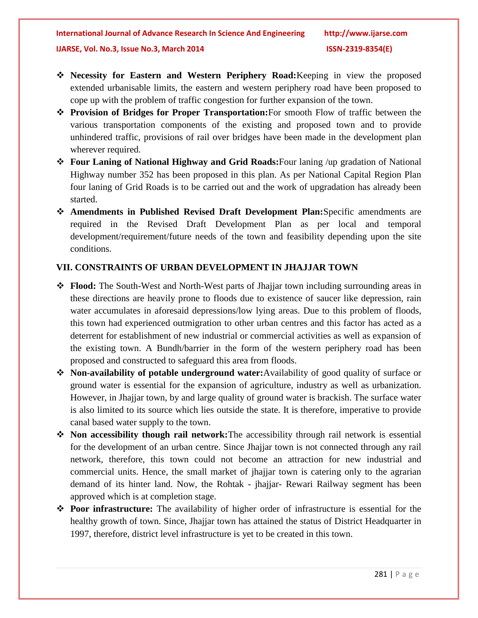- **Necessity for Eastern and Western Periphery Road:**Keeping in view the proposed extended urbanisable limits, the eastern and western periphery road have been proposed to cope up with the problem of traffic congestion for further expansion of the town.
- **Provision of Bridges for Proper Transportation:**For smooth Flow of traffic between the various transportation components of the existing and proposed town and to provide unhindered traffic, provisions of rail over bridges have been made in the development plan wherever required.
- **Four Laning of National Highway and Grid Roads:**Four laning /up gradation of National Highway number 352 has been proposed in this plan. As per National Capital Region Plan four laning of Grid Roads is to be carried out and the work of upgradation has already been started.
- **Amendments in Published Revised Draft Development Plan:**Specific amendments are required in the Revised Draft Development Plan as per local and temporal development/requirement/future needs of the town and feasibility depending upon the site conditions.

### **VII. CONSTRAINTS OF URBAN DEVELOPMENT IN JHAJJAR TOWN**

- **Flood:** The South-West and North-West parts of Jhajjar town including surrounding areas in these directions are heavily prone to floods due to existence of saucer like depression, rain water accumulates in aforesaid depressions/low lying areas. Due to this problem of floods, this town had experienced outmigration to other urban centres and this factor has acted as a deterrent for establishment of new industrial or commercial activities as well as expansion of the existing town. A Bundh/barrier in the form of the western periphery road has been proposed and constructed to safeguard this area from floods.
- **Non-availability of potable underground water:**Availability of good quality of surface or ground water is essential for the expansion of agriculture, industry as well as urbanization. However, in Jhajjar town, by and large quality of ground water is brackish. The surface water is also limited to its source which lies outside the state. It is therefore, imperative to provide canal based water supply to the town.
- **Non accessibility though rail network:**The accessibility through rail network is essential for the development of an urban centre. Since Jhajjar town is not connected through any rail network, therefore, this town could not become an attraction for new industrial and commercial units. Hence, the small market of jhajjar town is catering only to the agrarian demand of its hinter land. Now, the Rohtak - jhajjar- Rewari Railway segment has been approved which is at completion stage.
- **Poor infrastructure:** The availability of higher order of infrastructure is essential for the healthy growth of town. Since, Jhajjar town has attained the status of District Headquarter in 1997, therefore, district level infrastructure is yet to be created in this town.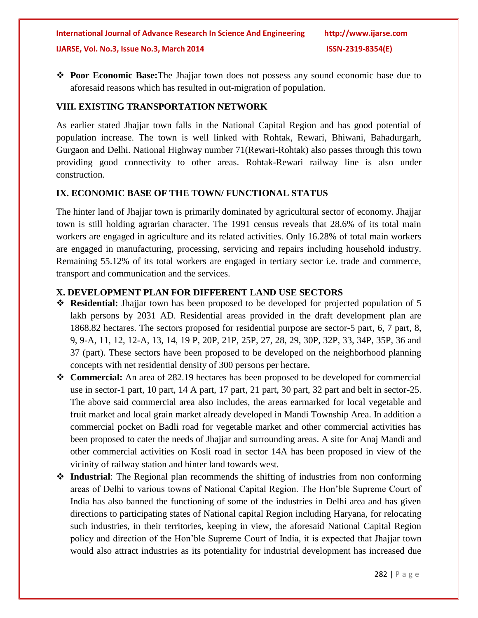**Poor Economic Base:**The Jhajjar town does not possess any sound economic base due to aforesaid reasons which has resulted in out-migration of population.

### **VIII. EXISTING TRANSPORTATION NETWORK**

As earlier stated Jhajjar town falls in the National Capital Region and has good potential of population increase. The town is well linked with Rohtak, Rewari, Bhiwani, Bahadurgarh, Gurgaon and Delhi. National Highway number 71(Rewari-Rohtak) also passes through this town providing good connectivity to other areas. Rohtak-Rewari railway line is also under construction.

## **IX. ECONOMIC BASE OF THE TOWN/ FUNCTIONAL STATUS**

The hinter land of Jhajjar town is primarily dominated by agricultural sector of economy. Jhajjar town is still holding agrarian character. The 1991 census reveals that 28.6% of its total main workers are engaged in agriculture and its related activities. Only 16.28% of total main workers are engaged in manufacturing, processing, servicing and repairs including household industry. Remaining 55.12% of its total workers are engaged in tertiary sector i.e. trade and commerce, transport and communication and the services.

## **X. DEVELOPMENT PLAN FOR DIFFERENT LAND USE SECTORS**

- **Residential:** Jhajjar town has been proposed to be developed for projected population of 5 lakh persons by 2031 AD. Residential areas provided in the draft development plan are 1868.82 hectares. The sectors proposed for residential purpose are sector-5 part, 6, 7 part, 8, 9, 9-A, 11, 12, 12-A, 13, 14, 19 P, 20P, 21P, 25P, 27, 28, 29, 30P, 32P, 33, 34P, 35P, 36 and 37 (part). These sectors have been proposed to be developed on the neighborhood planning concepts with net residential density of 300 persons per hectare.
- **Commercial:** An area of 282.19 hectares has been proposed to be developed for commercial use in sector-1 part, 10 part, 14 A part, 17 part, 21 part, 30 part, 32 part and belt in sector-25. The above said commercial area also includes, the areas earmarked for local vegetable and fruit market and local grain market already developed in Mandi Township Area. In addition a commercial pocket on Badli road for vegetable market and other commercial activities has been proposed to cater the needs of Jhajjar and surrounding areas. A site for Anaj Mandi and other commercial activities on Kosli road in sector 14A has been proposed in view of the vicinity of railway station and hinter land towards west.
- **Industrial**: The Regional plan recommends the shifting of industries from non conforming areas of Delhi to various towns of National Capital Region. The Hon'ble Supreme Court of India has also banned the functioning of some of the industries in Delhi area and has given directions to participating states of National capital Region including Haryana, for relocating such industries, in their territories, keeping in view, the aforesaid National Capital Region policy and direction of the Hon'ble Supreme Court of India, it is expected that Jhajjar town would also attract industries as its potentiality for industrial development has increased due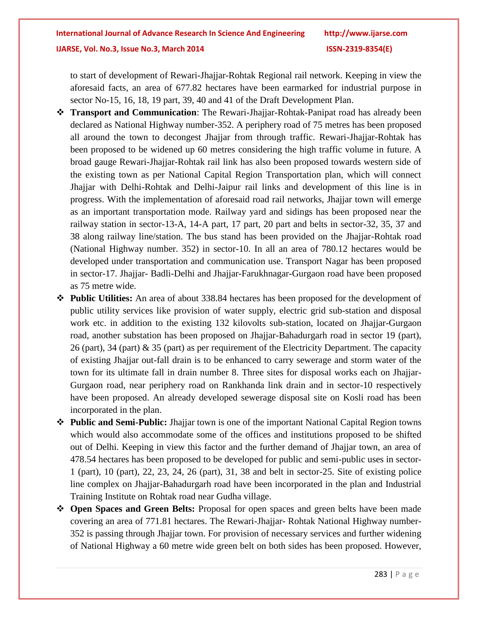to start of development of Rewari-Jhajjar-Rohtak Regional rail network. Keeping in view the aforesaid facts, an area of 677.82 hectares have been earmarked for industrial purpose in sector No-15, 16, 18, 19 part, 39, 40 and 41 of the Draft Development Plan.

- **Transport and Communication**: The Rewari-Jhajjar-Rohtak-Panipat road has already been declared as National Highway number-352. A periphery road of 75 metres has been proposed all around the town to decongest Jhajjar from through traffic. Rewari-Jhajjar-Rohtak has been proposed to be widened up 60 metres considering the high traffic volume in future. A broad gauge Rewari-Jhajjar-Rohtak rail link has also been proposed towards western side of the existing town as per National Capital Region Transportation plan, which will connect Jhajjar with Delhi-Rohtak and Delhi-Jaipur rail links and development of this line is in progress. With the implementation of aforesaid road rail networks, Jhajjar town will emerge as an important transportation mode. Railway yard and sidings has been proposed near the railway station in sector-13-A, 14-A part, 17 part, 20 part and belts in sector-32, 35, 37 and 38 along railway line/station. The bus stand has been provided on the Jhajjar-Rohtak road (National Highway number. 352) in sector-10. In all an area of 780.12 hectares would be developed under transportation and communication use. Transport Nagar has been proposed in sector-17. Jhajjar- Badli-Delhi and Jhajjar-Farukhnagar-Gurgaon road have been proposed as 75 metre wide.
- **Public Utilities:** An area of about 338.84 hectares has been proposed for the development of public utility services like provision of water supply, electric grid sub-station and disposal work etc. in addition to the existing 132 kilovolts sub-station, located on Jhajjar-Gurgaon road, another substation has been proposed on Jhajjar-Bahadurgarh road in sector 19 (part), 26 (part), 34 (part) & 35 (part) as per requirement of the Electricity Department. The capacity of existing Jhajjar out-fall drain is to be enhanced to carry sewerage and storm water of the town for its ultimate fall in drain number 8. Three sites for disposal works each on Jhajjar-Gurgaon road, near periphery road on Rankhanda link drain and in sector-10 respectively have been proposed. An already developed sewerage disposal site on Kosli road has been incorporated in the plan.
- **Public and Semi-Public:** Jhajjar town is one of the important National Capital Region towns which would also accommodate some of the offices and institutions proposed to be shifted out of Delhi. Keeping in view this factor and the further demand of Jhajjar town, an area of 478.54 hectares has been proposed to be developed for public and semi-public uses in sector-1 (part), 10 (part), 22, 23, 24, 26 (part), 31, 38 and belt in sector-25. Site of existing police line complex on Jhajjar-Bahadurgarh road have been incorporated in the plan and Industrial Training Institute on Rohtak road near Gudha village.
- **Open Spaces and Green Belts:** Proposal for open spaces and green belts have been made covering an area of 771.81 hectares. The Rewari-Jhajjar- Rohtak National Highway number-352 is passing through Jhajjar town. For provision of necessary services and further widening of National Highway a 60 metre wide green belt on both sides has been proposed. However,